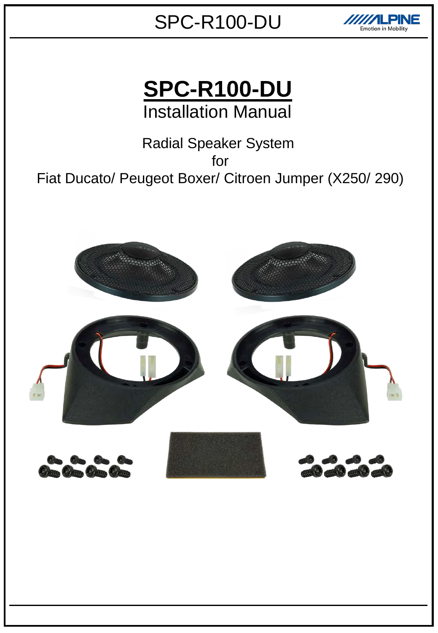

**SPC-R100-DU** Installation Manual

Radial Speaker System for Fiat Ducato/ Peugeot Boxer/ Citroen Jumper (X250/ 290)

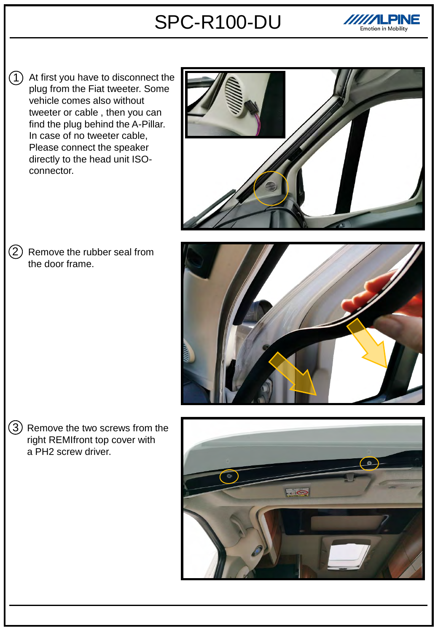

1) At first you have to disconnect the plug from the Fiat tweeter. Some vehicle comes also without tweeter or cable , then you can find the plug behind the A-Pillar. In case of no tweeter cable, Please connect the speaker directly to the head unit ISOconnector.





2 Remove the rubber seal from the door frame.

 $3)$  Remove the two screws from the right REMIfront top cover with a PH2 screw driver.

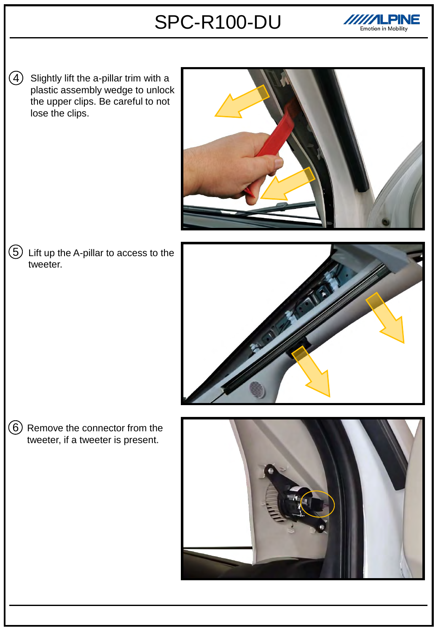

 $\bigcirc$ Slightly lift the a-pillar trim with a plastic assembly wedge to unlock the upper clips. Be careful to not lose the clips.



 $5)$  Lift up the A-pillar to access to the tweeter.



 $6)$  Remove the connector from the tweeter, if a tweeter is present.

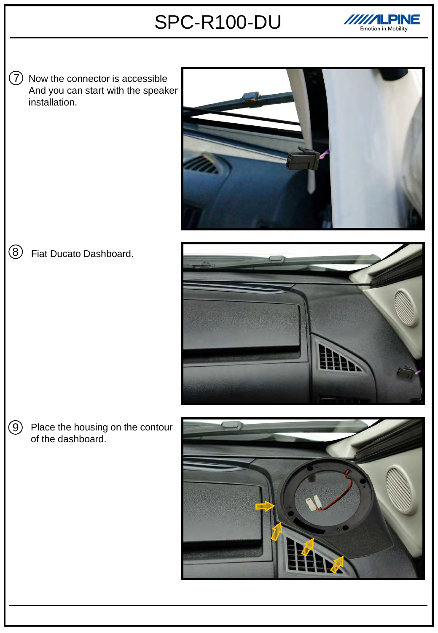

7 Now the connector is accessible And you can start with the speaker installation.



#### Fiat Ducato Dashboard. 8



Place the housing on the contour of the dashboard.  $\circledcirc$ 

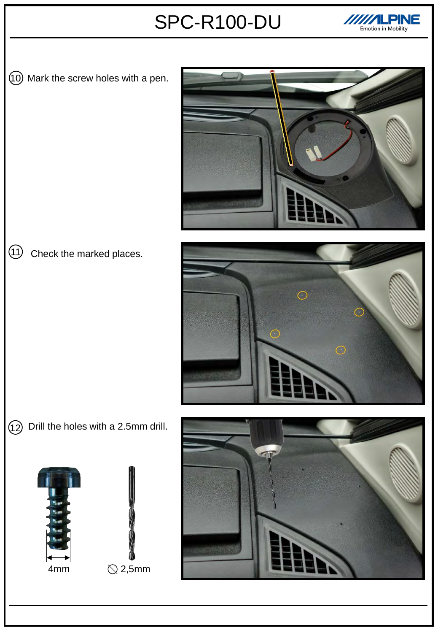

10 Mark the screw holes with a pen.



#### Check the marked places.  $\textcircled{\scriptsize{1}}$



 $\left( 12\right)$  Drill the holes with a 2.5mm drill.





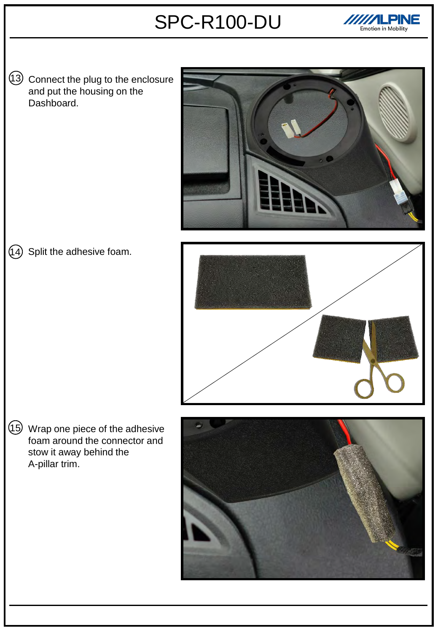

13 Connect the plug to the enclosure and put the housing on the Dashboard.



### (14) Split the adhesive foam.



15 Wrap one piece of the adhesive foam around the connector and stow it away behind the A-pillar trim.

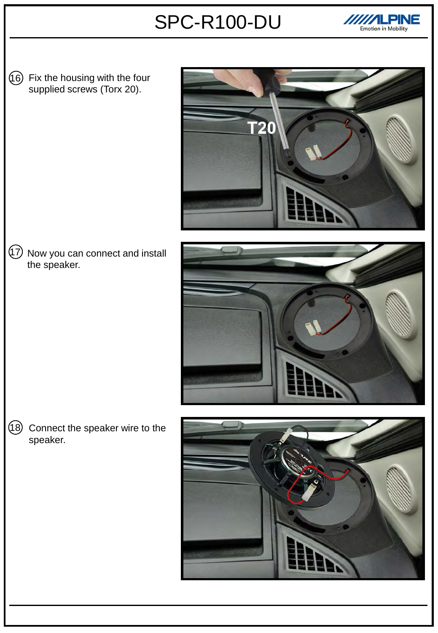

 $(16)$  Fix the housing with the four supplied screws (Torx 20).







18 Connect the speaker wire to the speaker.